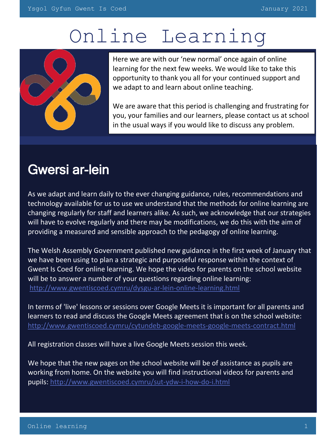# Online Learning



Here we are with our 'new normal' once again of online learning for the next few weeks. We would like to take this opportunity to thank you all for your continued support and we adapt to and learn about online teaching.

We are aware that this period is challenging and frustrating for you, your families and our learners, please contact us at school in the usual ways if you would like to discuss any problem.

## Gwersi ar-lein

As we adapt and learn daily to the ever changing guidance, rules, recommendations and technology available for us to use we understand that the methods for online learning are changing regularly for staff and learners alike. As such, we acknowledge that our strategies will have to evolve regularly and there may be modifications, we do this with the aim of providing a measured and sensible approach to the pedagogy of online learning.

The Welsh Assembly Government published new guidance in the first week of January that we have been using to plan a strategic and purposeful response within the context of Gwent Is Coed for online learning. We hope the video for parents on the school website will be to answer a number of your questions regarding online learning: <http://www.gwentiscoed.cymru/dysgu-ar-lein-online-learning.html>

In terms of 'live' lessons or sessions over Google Meets it is important for all parents and learners to read and discuss the Google Meets agreement that is on the school website: <http://www.gwentiscoed.cymru/cytundeb-google-meets-google-meets-contract.html>

All registration classes will have a live Google Meets session this week.

We hope that the new pages on the school website will be of assistance as pupils are working from home. On the website you will find instructional videos for parents and pupils: <http://www.gwentiscoed.cymru/sut-ydw-i-how-do-i.html>